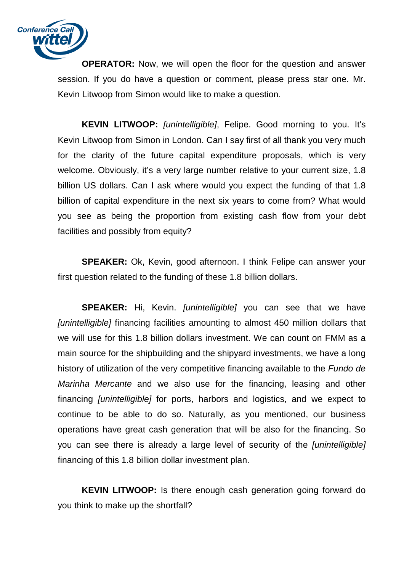

**OPERATOR:** Now, we will open the floor for the question and answer session. If you do have a question or comment, please press star one. Mr. Kevin Litwoop from Simon would like to make a question.

KEVIN LITWOOP: [unintelligible], Felipe. Good morning to you. It's Kevin Litwoop from Simon in London. Can I say first of all thank you very much for the clarity of the future capital expenditure proposals, which is very welcome. Obviously, it's a very large number relative to your current size, 1.8 billion US dollars. Can I ask where would you expect the funding of that 1.8 billion of capital expenditure in the next six years to come from? What would you see as being the proportion from existing cash flow from your debt facilities and possibly from equity?

**SPEAKER:** Ok, Kevin, good afternoon. I think Felipe can answer your first question related to the funding of these 1.8 billion dollars.

**SPEAKER:** Hi, Kevin. *[unintelligible]* you can see that we have [unintelligible] financing facilities amounting to almost 450 million dollars that we will use for this 1.8 billion dollars investment. We can count on FMM as a main source for the shipbuilding and the shipyard investments, we have a long history of utilization of the very competitive financing available to the Fundo de Marinha Mercante and we also use for the financing, leasing and other financing *[unintelligible]* for ports, harbors and logistics, and we expect to continue to be able to do so. Naturally, as you mentioned, our business operations have great cash generation that will be also for the financing. So you can see there is already a large level of security of the [unintelligible] financing of this 1.8 billion dollar investment plan.

**KEVIN LITWOOP:** Is there enough cash generation going forward do you think to make up the shortfall?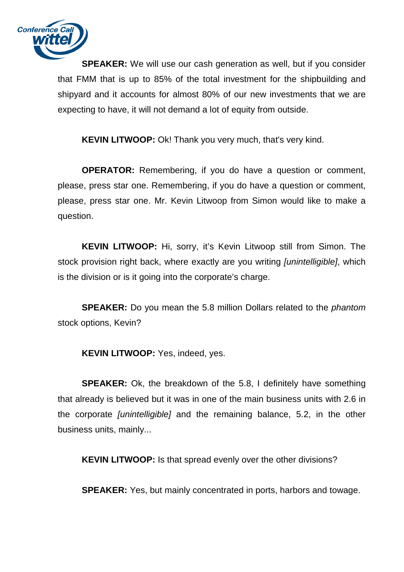

**SPEAKER:** We will use our cash generation as well, but if you consider that FMM that is up to 85% of the total investment for the shipbuilding and shipyard and it accounts for almost 80% of our new investments that we are expecting to have, it will not demand a lot of equity from outside.

**KEVIN LITWOOP:** Ok! Thank you very much, that's very kind.

**OPERATOR:** Remembering, if you do have a question or comment, please, press star one. Remembering, if you do have a question or comment, please, press star one. Mr. Kevin Litwoop from Simon would like to make a question.

**KEVIN LITWOOP:** Hi, sorry, it's Kevin Litwoop still from Simon. The stock provision right back, where exactly are you writing *[unintelligible]*, which is the division or is it going into the corporate's charge.

**SPEAKER:** Do you mean the 5.8 million Dollars related to the *phantom* stock options, Kevin?

**KEVIN LITWOOP:** Yes, indeed, yes.

**SPEAKER:** Ok, the breakdown of the 5.8, I definitely have something that already is believed but it was in one of the main business units with 2.6 in the corporate [unintelligible] and the remaining balance, 5.2, in the other business units, mainly...

**KEVIN LITWOOP:** Is that spread evenly over the other divisions?

**SPEAKER:** Yes, but mainly concentrated in ports, harbors and towage.